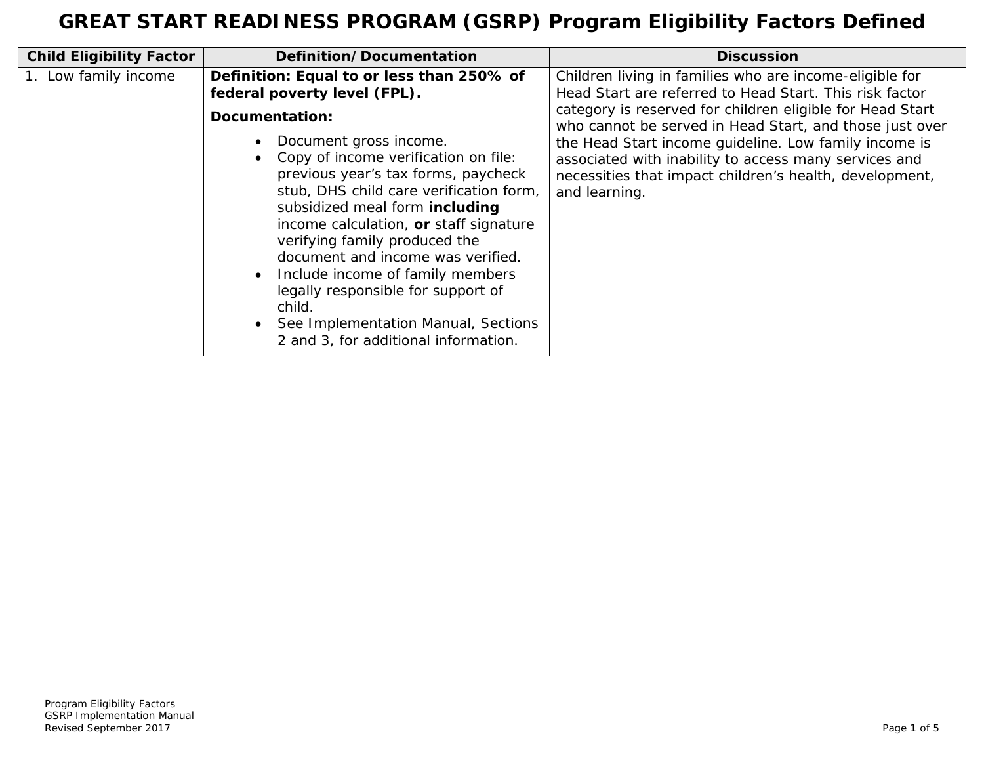| <b>Child Eligibility Factor</b> | Definition/Documentation                                                                                                                                                                                                                                                                                                                                                                                                                                                                                                       | <b>Discussion</b>                                                                                                                                                                                                                                                                                                                                                                                                                        |
|---------------------------------|--------------------------------------------------------------------------------------------------------------------------------------------------------------------------------------------------------------------------------------------------------------------------------------------------------------------------------------------------------------------------------------------------------------------------------------------------------------------------------------------------------------------------------|------------------------------------------------------------------------------------------------------------------------------------------------------------------------------------------------------------------------------------------------------------------------------------------------------------------------------------------------------------------------------------------------------------------------------------------|
| 1. Low family income            | Definition: Equal to or less than 250% of<br>federal poverty level (FPL).<br>Documentation:<br>Document gross income.<br>• Copy of income verification on file:<br>previous year's tax forms, paycheck<br>stub, DHS child care verification form,<br>subsidized meal form including<br>income calculation, or staff signature<br>verifying family produced the<br>document and income was verified.<br>Include income of family members<br>legally responsible for support of<br>child.<br>See Implementation Manual, Sections | Children living in families who are income-eligible for<br>Head Start are referred to Head Start. This risk factor<br>category is reserved for children eligible for Head Start<br>who cannot be served in Head Start, and those just over<br>the Head Start income guideline. Low family income is<br>associated with inability to access many services and<br>necessities that impact children's health, development,<br>and learning. |
|                                 | 2 and 3, for additional information.                                                                                                                                                                                                                                                                                                                                                                                                                                                                                           |                                                                                                                                                                                                                                                                                                                                                                                                                                          |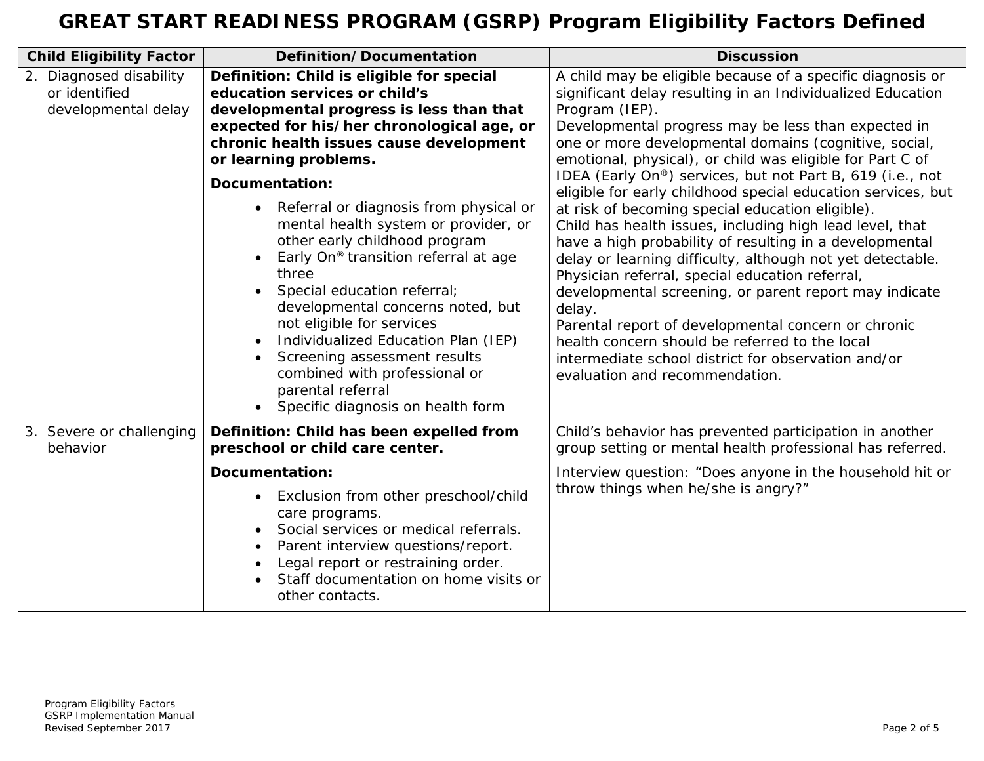| <b>Child Eligibility Factor</b>                                 | Definition/Documentation                                                                                                                                                                                                                                                                                                                                                                                                                                          | <b>Discussion</b>                                                                                                                                                                                                                                                                                                                                                                                                                                                                                                                                                                                                                                                                                                                                                                                                                                                                                                                                                                                                      |
|-----------------------------------------------------------------|-------------------------------------------------------------------------------------------------------------------------------------------------------------------------------------------------------------------------------------------------------------------------------------------------------------------------------------------------------------------------------------------------------------------------------------------------------------------|------------------------------------------------------------------------------------------------------------------------------------------------------------------------------------------------------------------------------------------------------------------------------------------------------------------------------------------------------------------------------------------------------------------------------------------------------------------------------------------------------------------------------------------------------------------------------------------------------------------------------------------------------------------------------------------------------------------------------------------------------------------------------------------------------------------------------------------------------------------------------------------------------------------------------------------------------------------------------------------------------------------------|
| 2. Diagnosed disability<br>or identified<br>developmental delay | Definition: Child is eligible for special<br>education services or child's<br>developmental progress is less than that<br>expected for his/her chronological age, or<br>chronic health issues cause development<br>or learning problems.                                                                                                                                                                                                                          | A child may be eligible because of a specific diagnosis or<br>significant delay resulting in an Individualized Education<br>Program (IEP).<br>Developmental progress may be less than expected in<br>one or more developmental domains (cognitive, social,<br>emotional, physical), or child was eligible for Part C of<br>IDEA (Early On®) services, but not Part B, 619 (i.e., not<br>eligible for early childhood special education services, but<br>at risk of becoming special education eligible).<br>Child has health issues, including high lead level, that<br>have a high probability of resulting in a developmental<br>delay or learning difficulty, although not yet detectable.<br>Physician referral, special education referral,<br>developmental screening, or parent report may indicate<br>delay.<br>Parental report of developmental concern or chronic<br>health concern should be referred to the local<br>intermediate school district for observation and/or<br>evaluation and recommendation. |
|                                                                 | Documentation:<br>Referral or diagnosis from physical or<br>mental health system or provider, or<br>other early childhood program<br>Early On <sup>®</sup> transition referral at age<br>three<br>Special education referral;<br>developmental concerns noted, but<br>not eligible for services<br>Individualized Education Plan (IEP)<br>Screening assessment results<br>combined with professional or<br>parental referral<br>Specific diagnosis on health form |                                                                                                                                                                                                                                                                                                                                                                                                                                                                                                                                                                                                                                                                                                                                                                                                                                                                                                                                                                                                                        |
| 3. Severe or challenging<br>behavior                            | Definition: Child has been expelled from<br>preschool or child care center.                                                                                                                                                                                                                                                                                                                                                                                       | Child's behavior has prevented participation in another<br>group setting or mental health professional has referred.                                                                                                                                                                                                                                                                                                                                                                                                                                                                                                                                                                                                                                                                                                                                                                                                                                                                                                   |
|                                                                 | Documentation:<br>Exclusion from other preschool/child<br>care programs.<br>Social services or medical referrals.<br>Parent interview questions/report.<br>Legal report or restraining order.<br>Staff documentation on home visits or<br>other contacts.                                                                                                                                                                                                         | Interview question: "Does anyone in the household hit or<br>throw things when he/she is angry?"                                                                                                                                                                                                                                                                                                                                                                                                                                                                                                                                                                                                                                                                                                                                                                                                                                                                                                                        |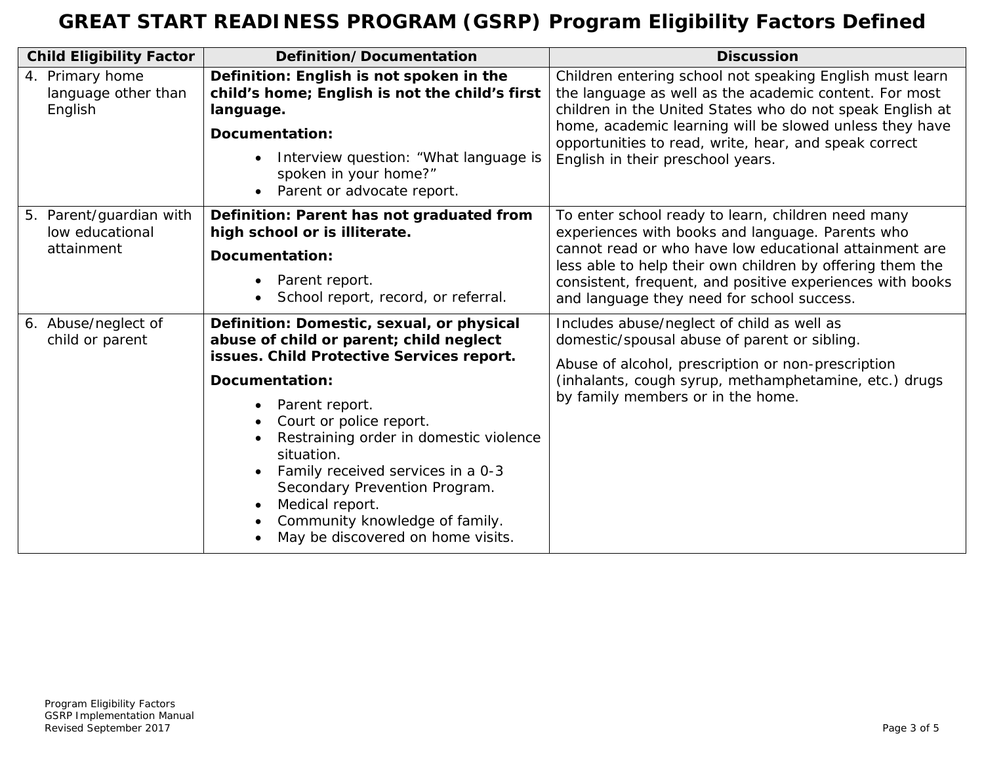| <b>Child Eligibility Factor</b>                          | Definition/Documentation                                                                                                                                                                                                                                                                                                                                                                                                 | <b>Discussion</b>                                                                                                                                                                                                                                                                                                                        |
|----------------------------------------------------------|--------------------------------------------------------------------------------------------------------------------------------------------------------------------------------------------------------------------------------------------------------------------------------------------------------------------------------------------------------------------------------------------------------------------------|------------------------------------------------------------------------------------------------------------------------------------------------------------------------------------------------------------------------------------------------------------------------------------------------------------------------------------------|
| 4. Primary home<br>language other than<br>English        | Definition: English is not spoken in the<br>child's home; English is not the child's first<br>language.<br>Documentation:<br>Interview question: "What language is<br>spoken in your home?"<br>Parent or advocate report.<br>$\bullet$                                                                                                                                                                                   | Children entering school not speaking English must learn<br>the language as well as the academic content. For most<br>children in the United States who do not speak English at<br>home, academic learning will be slowed unless they have<br>opportunities to read, write, hear, and speak correct<br>English in their preschool years. |
| 5. Parent/guardian with<br>low educational<br>attainment | Definition: Parent has not graduated from<br>high school or is illiterate.<br>Documentation:<br>Parent report.<br>School report, record, or referral.                                                                                                                                                                                                                                                                    | To enter school ready to learn, children need many<br>experiences with books and language. Parents who<br>cannot read or who have low educational attainment are<br>less able to help their own children by offering them the<br>consistent, frequent, and positive experiences with books<br>and language they need for school success. |
| 6. Abuse/neglect of<br>child or parent                   | Definition: Domestic, sexual, or physical<br>abuse of child or parent; child neglect<br>issues. Child Protective Services report.<br>Documentation:<br>Parent report.<br>Court or police report.<br>Restraining order in domestic violence<br>situation.<br>Family received services in a 0-3<br>Secondary Prevention Program.<br>Medical report.<br>Community knowledge of family.<br>May be discovered on home visits. | Includes abuse/neglect of child as well as<br>domestic/spousal abuse of parent or sibling.<br>Abuse of alcohol, prescription or non-prescription<br>(inhalants, cough syrup, methamphetamine, etc.) drugs<br>by family members or in the home.                                                                                           |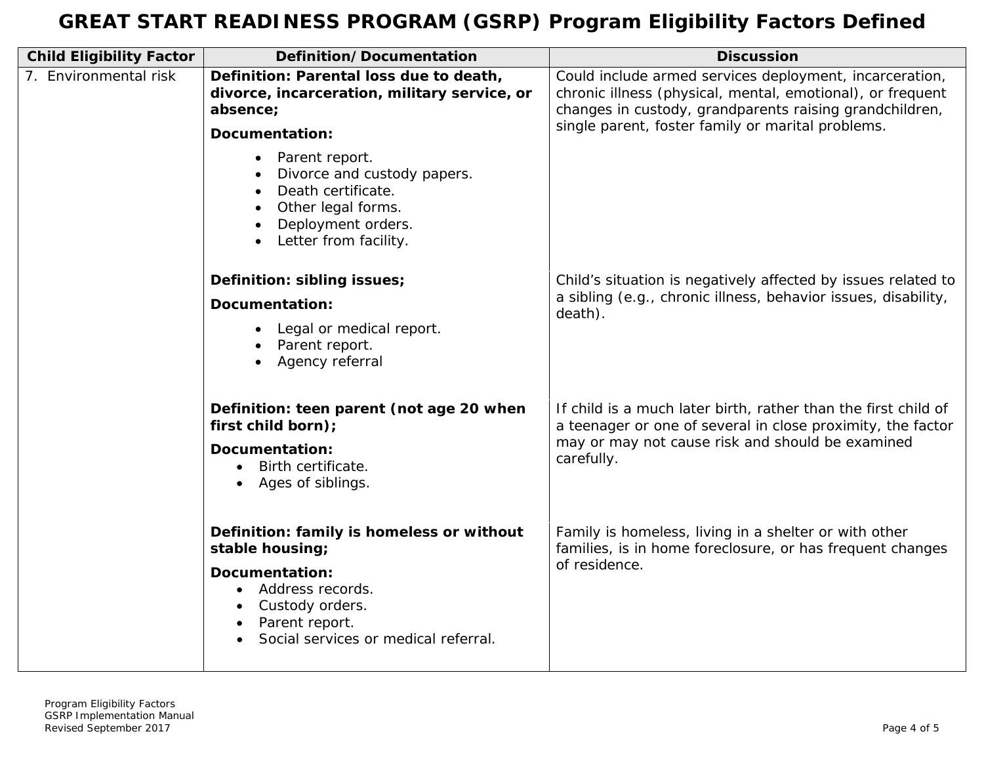| <b>Child Eligibility Factor</b> | Definition/Documentation                                                                                                                              | <b>Discussion</b>                                                                                                                                                                |
|---------------------------------|-------------------------------------------------------------------------------------------------------------------------------------------------------|----------------------------------------------------------------------------------------------------------------------------------------------------------------------------------|
| 7. Environmental risk           | Definition: Parental loss due to death,<br>divorce, incarceration, military service, or<br>absence;                                                   | Could include armed services deployment, incarceration,<br>chronic illness (physical, mental, emotional), or frequent<br>changes in custody, grandparents raising grandchildren, |
|                                 | Documentation:                                                                                                                                        | single parent, foster family or marital problems.                                                                                                                                |
|                                 | Parent report.<br>$\bullet$<br>Divorce and custody papers.<br>Death certificate.<br>Other legal forms.<br>Deployment orders.<br>Letter from facility. |                                                                                                                                                                                  |
|                                 | Definition: sibling issues;                                                                                                                           | Child's situation is negatively affected by issues related to                                                                                                                    |
|                                 | <b>Documentation:</b><br>Legal or medical report.<br>Parent report.<br>Agency referral                                                                | a sibling (e.g., chronic illness, behavior issues, disability,<br>death).                                                                                                        |
|                                 | Definition: teen parent (not age 20 when<br>first child born);                                                                                        | If child is a much later birth, rather than the first child of<br>a teenager or one of several in close proximity, the factor                                                    |
|                                 | Documentation:<br>Birth certificate.<br>$\bullet$<br>Ages of siblings.                                                                                | may or may not cause risk and should be examined<br>carefully.                                                                                                                   |
|                                 | Definition: family is homeless or without<br>stable housing;                                                                                          | Family is homeless, living in a shelter or with other<br>families, is in home foreclosure, or has frequent changes                                                               |
|                                 | Documentation:<br>Address records.<br>Custody orders.<br>Parent report.<br>Social services or medical referral.                                       | of residence.                                                                                                                                                                    |